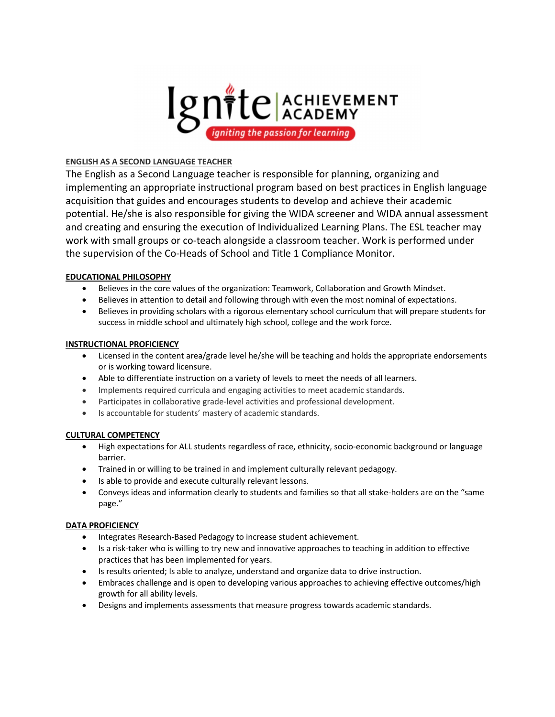

# **ENGLISH AS A SECOND LANGUAGE TEACHER**

The English as a Second Language teacher is responsible for planning, organizing and implementing an appropriate instructional program based on best practices in English language acquisition that guides and encourages students to develop and achieve their academic potential. He/she is also responsible for giving the WIDA screener and WIDA annual assessment and creating and ensuring the execution of Individualized Learning Plans. The ESL teacher may work with small groups or co-teach alongside a classroom teacher. Work is performed under the supervision of the Co-Heads of School and Title 1 Compliance Monitor.

# **EDUCATIONAL PHILOSOPHY**

- Believes in the core values of the organization: Teamwork, Collaboration and Growth Mindset.
- Believes in attention to detail and following through with even the most nominal of expectations.
- Believes in providing scholars with a rigorous elementary school curriculum that will prepare students for success in middle school and ultimately high school, college and the work force.

## **INSTRUCTIONAL PROFICIENCY**

- Licensed in the content area/grade level he/she will be teaching and holds the appropriate endorsements or is working toward licensure.
- Able to differentiate instruction on a variety of levels to meet the needs of all learners.
- Implements required curricula and engaging activities to meet academic standards.
- Participates in collaborative grade-level activities and professional development.
- Is accountable for students' mastery of academic standards.

## **CULTURAL COMPETENCY**

- High expectations for ALL students regardless of race, ethnicity, socio-economic background or language barrier.
- Trained in or willing to be trained in and implement culturally relevant pedagogy.
- Is able to provide and execute culturally relevant lessons.
- Conveys ideas and information clearly to students and families so that all stake-holders are on the "same page."

## **DATA PROFICIENCY**

- Integrates Research-Based Pedagogy to increase student achievement.
- Is a risk-taker who is willing to try new and innovative approaches to teaching in addition to effective practices that has been implemented for years.
- Is results oriented; Is able to analyze, understand and organize data to drive instruction.
- Embraces challenge and is open to developing various approaches to achieving effective outcomes/high growth for all ability levels.
- Designs and implements assessments that measure progress towards academic standards.